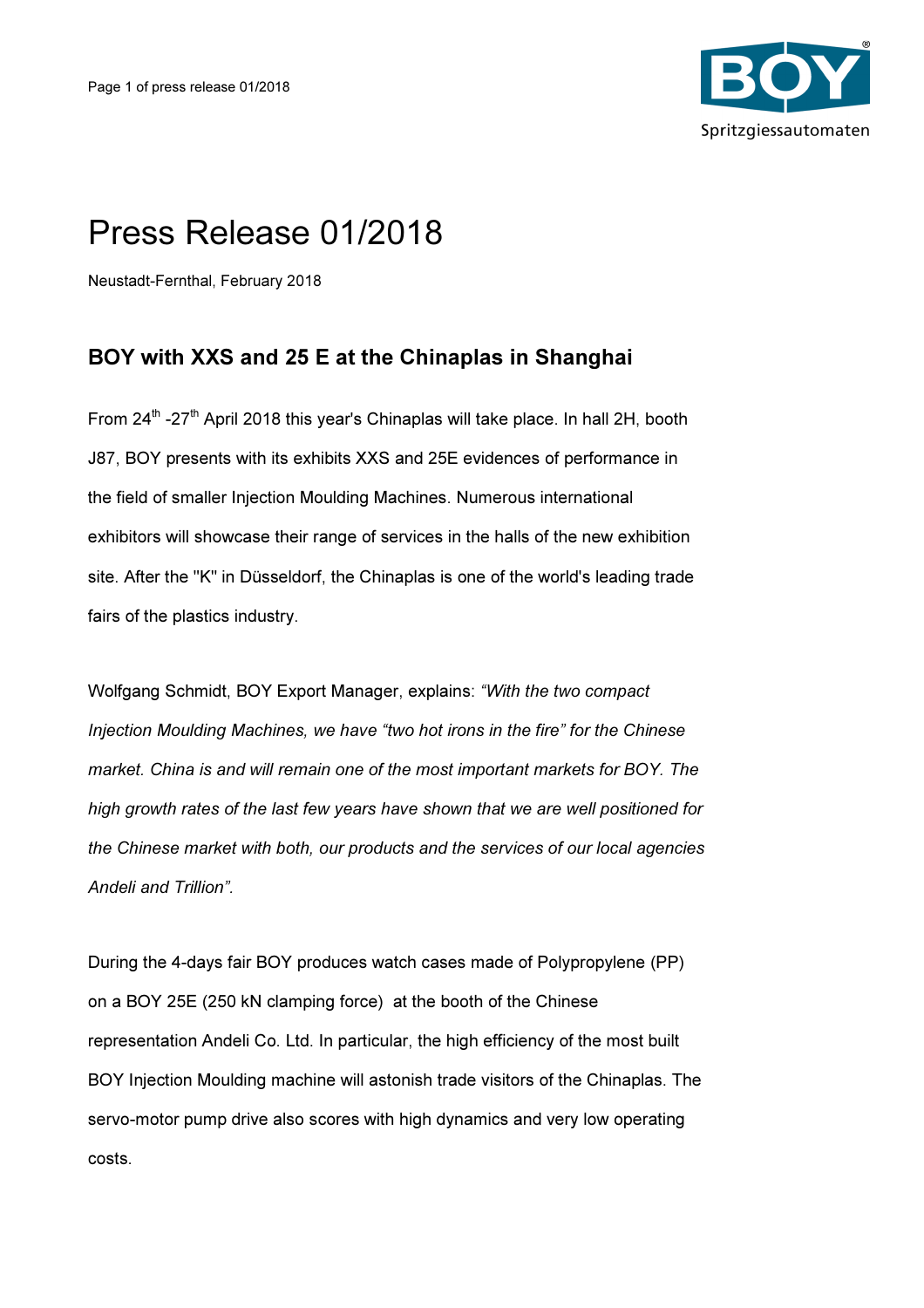

## Press Release 01/2018

Neustadt-Fernthal, February 2018

## BOY with XXS and 25 E at the Chinaplas in Shanghai

From  $24^{\text{th}}$  -27<sup>th</sup> April 2018 this year's Chinaplas will take place. In hall 2H, booth J87, BOY presents with its exhibits XXS and 25E evidences of performance in the field of smaller Injection Moulding Machines. Numerous international exhibitors will showcase their range of services in the halls of the new exhibition site. After the "K" in Düsseldorf, the Chinaplas is one of the world's leading trade fairs of the plastics industry.

Wolfgang Schmidt, BOY Export Manager, explains: "With the two compact Injection Moulding Machines, we have "two hot irons in the fire" for the Chinese market. China is and will remain one of the most important markets for BOY. The high growth rates of the last few years have shown that we are well positioned for the Chinese market with both, our products and the services of our local agencies Andeli and Trillion".

During the 4-days fair BOY produces watch cases made of Polypropylene (PP) on a BOY 25E (250 kN clamping force) at the booth of the Chinese representation Andeli Co. Ltd. In particular, the high efficiency of the most built BOY Injection Moulding machine will astonish trade visitors of the Chinaplas. The servo-motor pump drive also scores with high dynamics and very low operating costs.